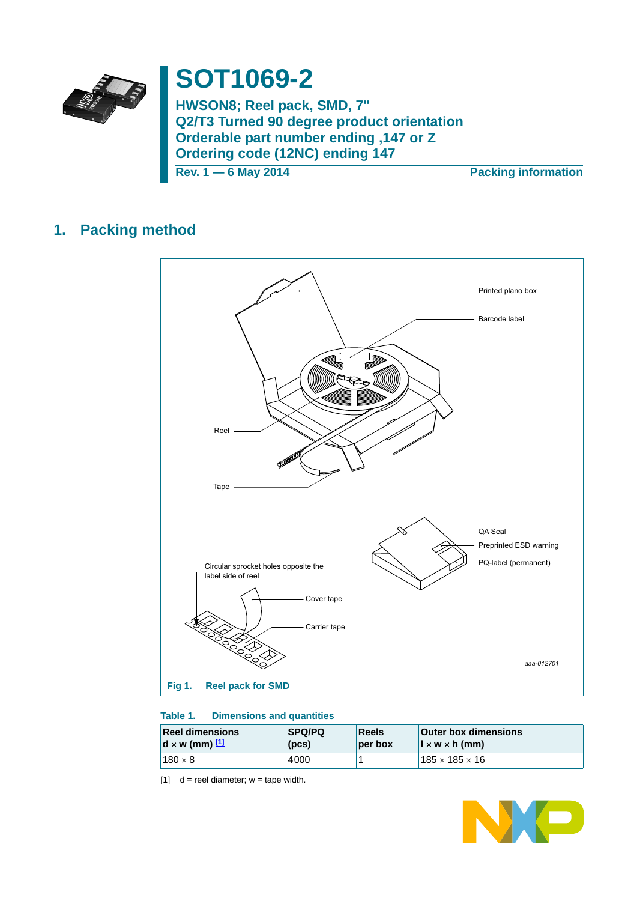

# **SOT1069-2**

**HWSON8; Reel pack, SMD, 7" Q2/T3 Turned 90 degree product orientation Orderable part number ending ,147 or Z Ordering code (12NC) ending 147**

**Rev. 1 — 6 May 2014 Packing information**

## **1. Packing method**



### **Table 1. Dimensions and quantities**

| <b>Reel dimensions</b> | <b>SPQ/PQ</b> | Reels   | <b>Outer box dimensions</b>                           |
|------------------------|---------------|---------|-------------------------------------------------------|
| $d \times w$ (mm) $11$ | $ $ (pcs)     | per box | $\mathbf{I} \times \mathbf{w} \times \mathbf{h}$ (mm) |
| $180\times8$           | 4000          |         | $185 \times 185 \times 16$                            |

<span id="page-0-0"></span>[1]  $d =$  reel diameter;  $w =$  tape width.

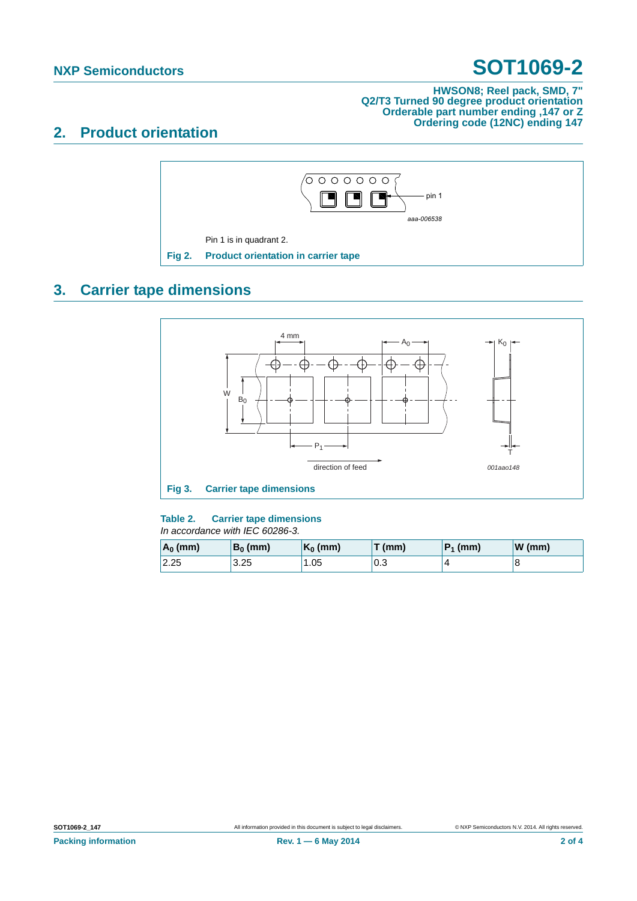# **NXP Semiconductors SOT1069-2**

### **HWSON8; Reel pack, SMD, 7" Q2/T3 Turned 90 degree product orientation Orderable part number ending ,147 or Z Ordering code (12NC) ending 147**

### **2. Product orientation**



## **3. Carrier tape dimensions**



### **Table 2. Carrier tape dimensions**

| In accordance with IEC 60286-3. |  |  |
|---------------------------------|--|--|
|---------------------------------|--|--|

| $ A_0 $ (mm) | $B_0$ (mm) | $K_0$ (mm) | $T$ (mm) | $P_1$ (mm) | W(mm) |
|--------------|------------|------------|----------|------------|-------|
| 2.25         | 3.25       | 1.05       | 0.3      | 4          |       |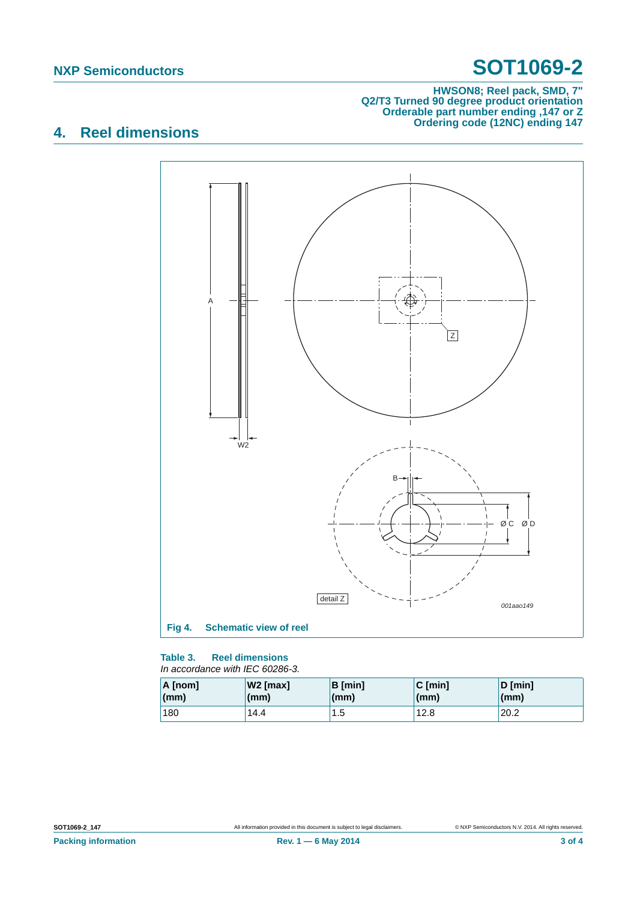# **NXP Semiconductors SOT1069-2**

### **HWSON8; Reel pack, SMD, 7" Q2/T3 Turned 90 degree product orientation Orderable part number ending ,147 or Z Ordering code (12NC) ending 147**

# **4. Reel dimensions**



#### **Table 3. Reel dimensions** *In accordance with IEC 60286-3.*

| A [nom] | $W2$ [max] | <b>B</b> [min] | $C$ [min] | $D$ [min] |
|---------|------------|----------------|-----------|-----------|
| (mm)    | (mm)       | (mm)           | (mm)      | (mm)      |
| 180     | 14.4       | 1.5            | 12.8      | 20.2      |